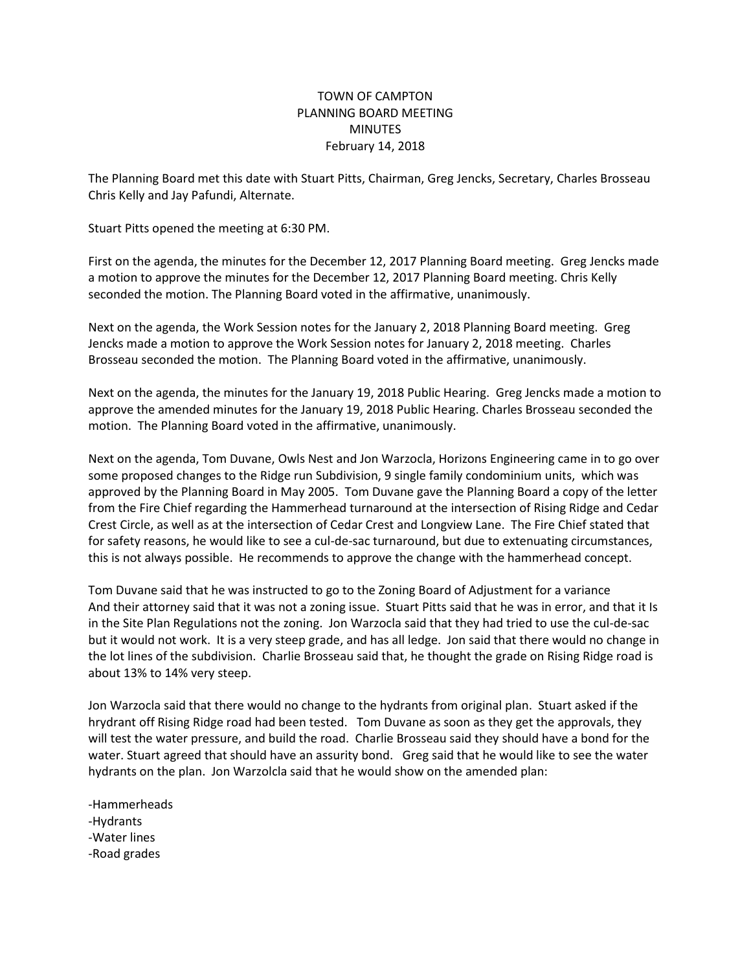## TOWN OF CAMPTON PLANNING BOARD MEETING **MINUTES** February 14, 2018

The Planning Board met this date with Stuart Pitts, Chairman, Greg Jencks, Secretary, Charles Brosseau Chris Kelly and Jay Pafundi, Alternate.

Stuart Pitts opened the meeting at 6:30 PM.

First on the agenda, the minutes for the December 12, 2017 Planning Board meeting. Greg Jencks made a motion to approve the minutes for the December 12, 2017 Planning Board meeting. Chris Kelly seconded the motion. The Planning Board voted in the affirmative, unanimously.

Next on the agenda, the Work Session notes for the January 2, 2018 Planning Board meeting. Greg Jencks made a motion to approve the Work Session notes for January 2, 2018 meeting. Charles Brosseau seconded the motion. The Planning Board voted in the affirmative, unanimously.

Next on the agenda, the minutes for the January 19, 2018 Public Hearing. Greg Jencks made a motion to approve the amended minutes for the January 19, 2018 Public Hearing. Charles Brosseau seconded the motion. The Planning Board voted in the affirmative, unanimously.

Next on the agenda, Tom Duvane, Owls Nest and Jon Warzocla, Horizons Engineering came in to go over some proposed changes to the Ridge run Subdivision, 9 single family condominium units, which was approved by the Planning Board in May 2005. Tom Duvane gave the Planning Board a copy of the letter from the Fire Chief regarding the Hammerhead turnaround at the intersection of Rising Ridge and Cedar Crest Circle, as well as at the intersection of Cedar Crest and Longview Lane. The Fire Chief stated that for safety reasons, he would like to see a cul-de-sac turnaround, but due to extenuating circumstances, this is not always possible. He recommends to approve the change with the hammerhead concept.

Tom Duvane said that he was instructed to go to the Zoning Board of Adjustment for a variance And their attorney said that it was not a zoning issue. Stuart Pitts said that he was in error, and that it Is in the Site Plan Regulations not the zoning. Jon Warzocla said that they had tried to use the cul-de-sac but it would not work. It is a very steep grade, and has all ledge. Jon said that there would no change in the lot lines of the subdivision. Charlie Brosseau said that, he thought the grade on Rising Ridge road is about 13% to 14% very steep.

Jon Warzocla said that there would no change to the hydrants from original plan. Stuart asked if the hrydrant off Rising Ridge road had been tested. Tom Duvane as soon as they get the approvals, they will test the water pressure, and build the road. Charlie Brosseau said they should have a bond for the water. Stuart agreed that should have an assurity bond. Greg said that he would like to see the water hydrants on the plan. Jon Warzolcla said that he would show on the amended plan:

-Hammerheads -Hydrants -Water lines -Road grades